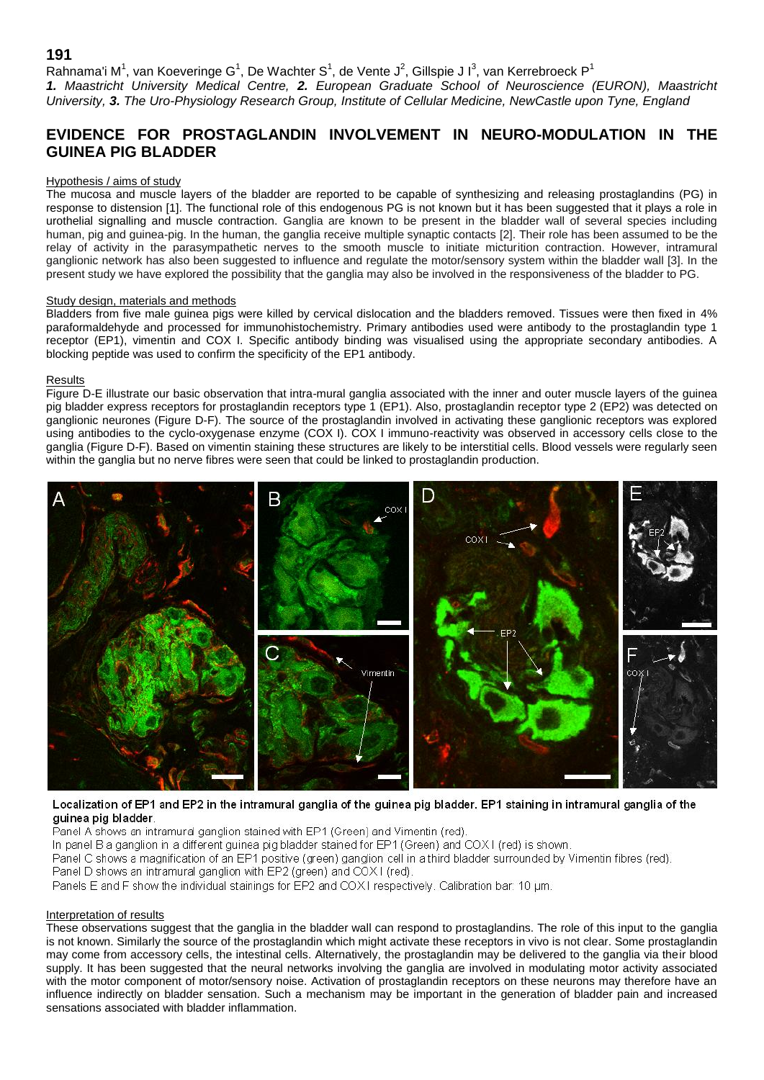## **191**

Rahnama'i M<sup>1</sup>, van Koeveringe G<sup>1</sup>, De Wachter S<sup>1</sup>, de Vente J<sup>2</sup>, Gillspie J I<sup>3</sup>, van Kerrebroeck P<sup>1</sup> *1. Maastricht University Medical Centre, 2. European Graduate School of Neuroscience (EURON), Maastricht University, 3. The Uro-Physiology Research Group, Institute of Cellular Medicine, NewCastle upon Tyne, England*

# **EVIDENCE FOR PROSTAGLANDIN INVOLVEMENT IN NEURO-MODULATION IN THE GUINEA PIG BLADDER**

#### Hypothesis / aims of study

The mucosa and muscle layers of the bladder are reported to be capable of synthesizing and releasing prostaglandins (PG) in response to distension [1]. The functional role of this endogenous PG is not known but it has been suggested that it plays a role in urothelial signalling and muscle contraction. Ganglia are known to be present in the bladder wall of several species including human, pig and guinea-pig. In the human, the ganglia receive multiple synaptic contacts [2]. Their role has been assumed to be the relay of activity in the parasympathetic nerves to the smooth muscle to initiate micturition contraction. However, intramural ganglionic network has also been suggested to influence and regulate the motor/sensory system within the bladder wall [3]. In the present study we have explored the possibility that the ganglia may also be involved in the responsiveness of the bladder to PG.

#### Study design, materials and methods

Bladders from five male guinea pigs were killed by cervical dislocation and the bladders removed. Tissues were then fixed in 4% paraformaldehyde and processed for immunohistochemistry. Primary antibodies used were antibody to the prostaglandin type 1 receptor (EP1), vimentin and COX I. Specific antibody binding was visualised using the appropriate secondary antibodies. A blocking peptide was used to confirm the specificity of the EP1 antibody.

#### Results

Figure D-E illustrate our basic observation that intra-mural ganglia associated with the inner and outer muscle layers of the guinea pig bladder express receptors for prostaglandin receptors type 1 (EP1). Also, prostaglandin receptor type 2 (EP2) was detected on ganglionic neurones (Figure D-F). The source of the prostaglandin involved in activating these ganglionic receptors was explored using antibodies to the cyclo-oxygenase enzyme (COX I). COX I immuno-reactivity was observed in accessory cells close to the ganglia (Figure D-F). Based on vimentin staining these structures are likely to be interstitial cells. Blood vessels were regularly seen within the ganglia but no nerve fibres were seen that could be linked to prostaglandin production.



### Localization of EP1 and EP2 in the intramural ganglia of the guinea pig bladder. EP1 staining in intramural ganglia of the guinea pig bladder.

Panel A shows an intramural ganglion stained with EP1 (Green) and Vimentin (red).

In panel B a ganglion in a different guinea pig bladder stained for EP1 (Green) and COX1 (red) is shown.

Panel C shows a magnification of an EP1 positive (green) ganglion cell in a third bladder surrounded by Vimentin fibres (red).

Panel D shows an intramural ganglion with EP2 (green) and COX1 (red).

Panels E and F show the individual stainings for EP2 and COX1 respectively. Calibration bar: 10 um.

### Interpretation of results

These observations suggest that the ganglia in the bladder wall can respond to prostaglandins. The role of this input to the ganglia is not known. Similarly the source of the prostaglandin which might activate these receptors in vivo is not clear. Some prostaglandin may come from accessory cells, the intestinal cells. Alternatively, the prostaglandin may be delivered to the ganglia via their blood supply. It has been suggested that the neural networks involving the ganglia are involved in modulating motor activity associated with the motor component of motor/sensory noise. Activation of prostaglandin receptors on these neurons may therefore have an influence indirectly on bladder sensation. Such a mechanism may be important in the generation of bladder pain and increased sensations associated with bladder inflammation.